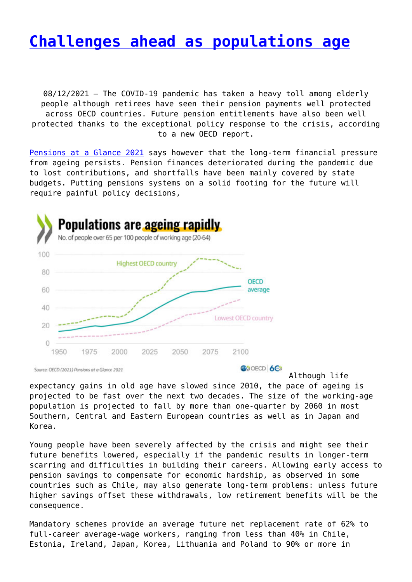#### **[Challenges ahead as populations age](http://www.government-world.com/challenges-ahead-as-populations-age/)**

08/12/2021 – The COVID-19 pandemic has taken a heavy toll among elderly people although retirees have seen their pension payments well protected across OECD countries. Future pension entitlements have also been well protected thanks to the exceptional policy response to the crisis, according to a new OECD report.

[Pensions at a Glance 2021](https://www.oecd.org/pensions/oecd-pensions-at-a-glance-19991363.htm) says however that the long-term financial pressure from ageing persists. Pension finances deteriorated during the pandemic due to lost contributions, and shortfalls have been mainly covered by state budgets. Putting pensions systems on a solid footing for the future will require painful policy decisions,



Source: OECD (2021) Pensions at a Glance 2021

**ONDECD 6CX** 

Although life expectancy gains in old age have slowed since 2010, the pace of ageing is projected to be fast over the next two decades. The size of the working-age population is projected to fall by more than one‑quarter by 2060 in most Southern, Central and Eastern European countries as well as in Japan and Korea.

Young people have been severely affected by the crisis and might see their future benefits lowered, especially if the pandemic results in longer-term scarring and difficulties in building their careers. Allowing early access to pension savings to compensate for economic hardship, as observed in some countries such as Chile, may also generate long-term problems: unless future higher savings offset these withdrawals, low retirement benefits will be the consequence.

Mandatory schemes provide an average future net replacement rate of 62% to full-career average-wage workers, ranging from less than 40% in Chile, Estonia, Ireland, Japan, Korea, Lithuania and Poland to 90% or more in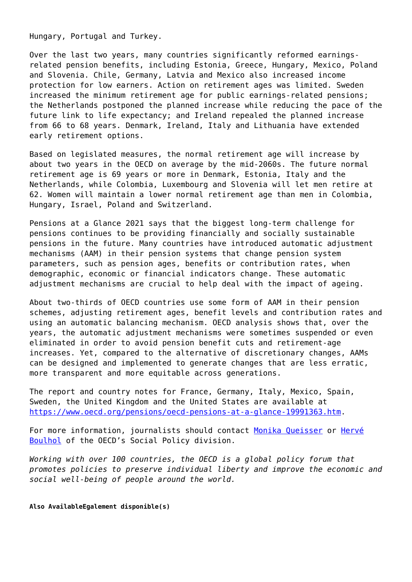Hungary, Portugal and Turkey.

Over the last two years, many countries significantly reformed earningsrelated pension benefits, including Estonia, Greece, Hungary, Mexico, Poland and Slovenia. Chile, Germany, Latvia and Mexico also increased income protection for low earners. Action on retirement ages was limited. Sweden increased the minimum retirement age for public earnings-related pensions; the Netherlands postponed the planned increase while reducing the pace of the future link to life expectancy; and Ireland repealed the planned increase from 66 to 68 years. Denmark, Ireland, Italy and Lithuania have extended early retirement options.

Based on legislated measures, the normal retirement age will increase by about two years in the OECD on average by the mid-2060s. The future normal retirement age is 69 years or more in Denmark, Estonia, Italy and the Netherlands, while Colombia, Luxembourg and Slovenia will let men retire at 62. Women will maintain a lower normal retirement age than men in Colombia, Hungary, Israel, Poland and Switzerland.

Pensions at a Glance 2021 says that the biggest long-term challenge for pensions continues to be providing financially and socially sustainable pensions in the future. Many countries have introduced automatic adjustment mechanisms (AAM) in their pension systems that change pension system parameters, such as pension ages, benefits or contribution rates, when demographic, economic or financial indicators change. These automatic adjustment mechanisms are crucial to help deal with the impact of ageing.

About two-thirds of OECD countries use some form of AAM in their pension schemes, adjusting retirement ages, benefit levels and contribution rates and using an automatic balancing mechanism. OECD analysis shows that, over the years, the automatic adjustment mechanisms were sometimes suspended or even eliminated in order to avoid pension benefit cuts and retirement-age increases. Yet, compared to the alternative of discretionary changes, AAMs can be designed and implemented to generate changes that are less erratic, more transparent and more equitable across generations.

The report and country notes for France, Germany, Italy, Mexico, Spain, Sweden, the United Kingdom and the United States are available at [https://www.oecd.org/pensions/oecd-pensions-at-a-glance-19991363.htm.](https://www.oecd.org/pensions/oecd-pensions-at-a-glance-19991363.htm)

For more information, journalists should contact [Monika Queisser](mailto:monika.queisser@oecd.org) or [Hervé](mailto:herve.boulhol@oecd.org) [Boulhol](mailto:herve.boulhol@oecd.org) of the OECD's Social Policy division.

*Working with over 100 countries, the OECD is a global policy forum that promotes policies to preserve individual liberty and improve the economic and social well-being of people around the world.*

**Also AvailableEgalement disponible(s)**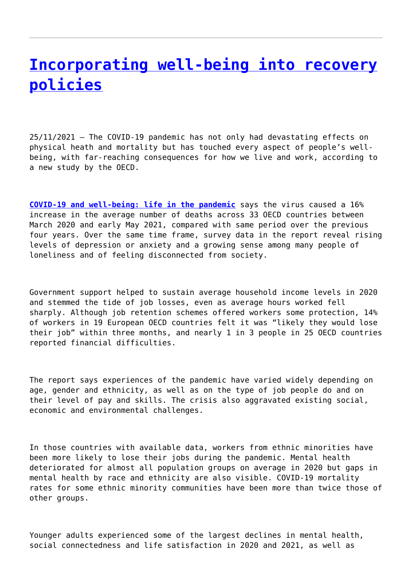## **[Incorporating well-being into recovery](http://www.government-world.com/incorporating-well-being-into-recovery-policies/) [policies](http://www.government-world.com/incorporating-well-being-into-recovery-policies/)**

25/11/2021 – The COVID-19 pandemic has not only had devastating effects on physical heath and mortality but has touched every aspect of people's wellbeing, with far-reaching consequences for how we live and work, according to a new study by the OECD.

**[COVID-19 and well-being: life in the pandemic](https://www.oecd.org/wise/covid-19-and-well-being-1e1ecb53-en.htm)** says the virus caused a 16% increase in the average number of deaths across 33 OECD countries between March 2020 and early May 2021, compared with same period over the previous four years. Over the same time frame, survey data in the report reveal rising levels of depression or anxiety and a growing sense among many people of loneliness and of feeling disconnected from society.

Government support helped to sustain average household income levels in 2020 and stemmed the tide of job losses, even as average hours worked fell sharply. Although job retention schemes offered workers some protection, 14% of workers in 19 European OECD countries felt it was "likely they would lose their job" within three months, and nearly 1 in 3 people in 25 OECD countries reported financial difficulties.

The report says experiences of the pandemic have varied widely depending on age, gender and ethnicity, as well as on the type of job people do and on their level of pay and skills. The crisis also aggravated existing social, economic and environmental challenges.

In those countries with available data, workers from ethnic minorities have been more likely to lose their jobs during the pandemic. Mental health deteriorated for almost all population groups on average in 2020 but gaps in mental health by race and ethnicity are also visible. COVID-19 mortality rates for some ethnic minority communities have been more than twice those of other groups.

Younger adults experienced some of the largest declines in mental health, social connectedness and life satisfaction in 2020 and 2021, as well as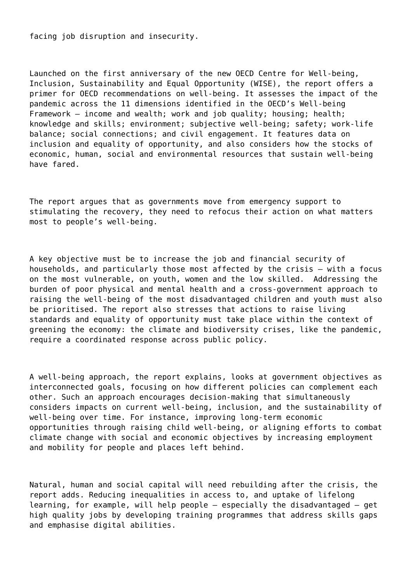facing job disruption and insecurity.

Launched on the first anniversary of the new OECD Centre for Well-being, Inclusion, Sustainability and Equal Opportunity (WISE), the report offers a primer for OECD recommendations on well-being. It assesses the impact of the pandemic across the 11 dimensions identified in the OECD's Well-being Framework – income and wealth; work and job quality; housing; health; knowledge and skills; environment; subjective well-being; safety; work-life balance; social connections; and civil engagement. It features data on inclusion and equality of opportunity, and also considers how the stocks of economic, human, social and environmental resources that sustain well-being have fared.

The report argues that as governments move from emergency support to stimulating the recovery, they need to refocus their action on what matters most to people's well-being.

A key objective must be to increase the job and financial security of households, and particularly those most affected by the crisis – with a focus on the most vulnerable, on youth, women and the low skilled. Addressing the burden of poor physical and mental health and a cross-government approach to raising the well-being of the most disadvantaged children and youth must also be prioritised. The report also stresses that actions to raise living standards and equality of opportunity must take place within the context of greening the economy: the climate and biodiversity crises, like the pandemic, require a coordinated response across public policy.

A well-being approach, the report explains, looks at government objectives as interconnected goals, focusing on how different policies can complement each other. Such an approach encourages decision-making that simultaneously considers impacts on current well-being, inclusion, and the sustainability of well-being over time. For instance, improving long-term economic opportunities through raising child well-being, or aligning efforts to combat climate change with social and economic objectives by increasing employment and mobility for people and places left behind.

Natural, human and social capital will need rebuilding after the crisis, the report adds. Reducing inequalities in access to, and uptake of lifelong learning, for example, will help people – especially the disadvantaged – get high quality jobs by developing training programmes that address skills gaps and emphasise digital abilities.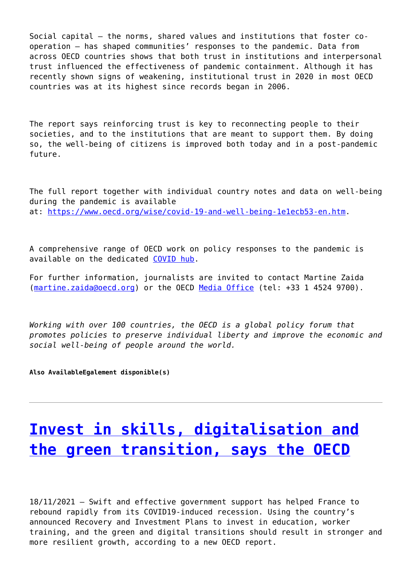Social capital – the norms, shared values and institutions that foster cooperation – has shaped communities' responses to the pandemic. Data from across OECD countries shows that both trust in institutions and interpersonal trust influenced the effectiveness of pandemic containment. Although it has recently shown signs of weakening, institutional trust in 2020 in most OECD countries was at its highest since records began in 2006.

The report says reinforcing trust is key to reconnecting people to their societies, and to the institutions that are meant to support them. By doing so, the well-being of citizens is improved both today and in a post-pandemic future.

The full report together with individual country notes and data on well-being during the pandemic is available at:<https://www.oecd.org/wise/covid-19-and-well-being-1e1ecb53-en.htm>.

A comprehensive range of OECD work on policy responses to the pandemic is available on the dedicated [COVID hub.](https://www.oecd.org/coronavirus/en/)

For further information, journalists are invited to contact Martine Zaida [\(martine.zaida@oecd.org\)](mailto:martine.zaida@oecd.org) or the OECD [Media Office](mailto:news.contact@oecd.org) (tel: +33 1 4524 9700).

*Working with over 100 countries, the OECD is a global policy forum that promotes policies to preserve individual liberty and improve the economic and social well-being of people around the world.*

**Also AvailableEgalement disponible(s)**

# **[Invest in skills, digitalisation and](http://www.government-world.com/invest-in-skills-digitalisation-and-the-green-transition-says-the-oecd/) [the green transition, says the OECD](http://www.government-world.com/invest-in-skills-digitalisation-and-the-green-transition-says-the-oecd/)**

18/11/2021 – Swift and effective government support has helped France to rebound rapidly from its COVID19-induced recession. Using the country's announced Recovery and Investment Plans to invest in education, worker training, and the green and digital transitions should result in stronger and more resilient growth, according to a new OECD report.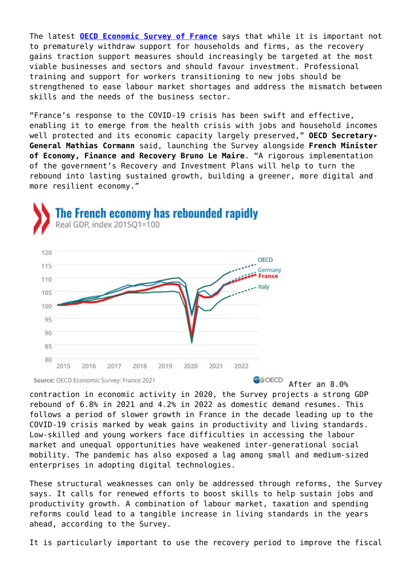The latest **[OECD Economic Survey of France](https://www.oecd.org/economy/france-economic-snapshot/)** says that while it is important not to prematurely withdraw support for households and firms, as the recovery gains traction support measures should increasingly be targeted at the most viable businesses and sectors and should favour investment. Professional training and support for workers transitioning to new jobs should be strengthened to ease labour market shortages and address the mismatch between skills and the needs of the business sector.

"France's response to the COVID-19 crisis has been swift and effective, enabling it to emerge from the health crisis with jobs and household incomes well protected and its economic capacity largely preserved," **OECD Secretary-General Mathias Cormann** said, launching the Survey alongside **French Minister of Economy, Finance and Recovery Bruno Le Maire**. "A rigorous implementation of the government's Recovery and Investment Plans will help to turn the rebound into lasting sustained growth, building a greener, more digital and more resilient economy."



Source: OECD Economic Survey: France 2021

**O**<sup></sub></sup> After an 8.0%

contraction in economic activity in 2020, the Survey projects a strong GDP rebound of 6.8% in 2021 and 4.2% in 2022 as domestic demand resumes. This follows a period of slower growth in France in the decade leading up to the COVID-19 crisis marked by weak gains in productivity and living standards. Low-skilled and young workers face difficulties in accessing the labour market and unequal opportunities have weakened inter-generational social mobility. The pandemic has also exposed a lag among small and medium-sized enterprises in adopting digital technologies.

These structural weaknesses can only be addressed through reforms, the Survey says. It calls for renewed efforts to boost skills to help sustain jobs and productivity growth. A combination of labour market, taxation and spending reforms could lead to a tangible increase in living standards in the years ahead, according to the Survey.

It is particularly important to use the recovery period to improve the fiscal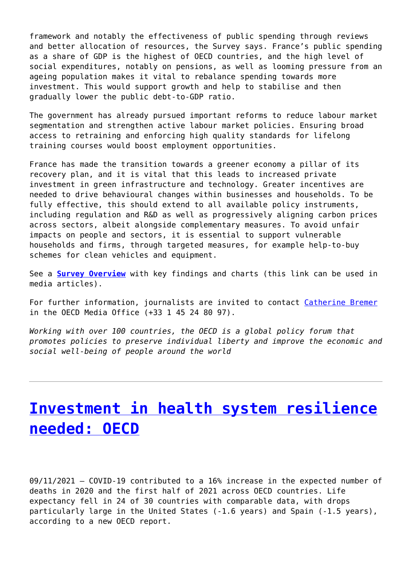framework and notably the effectiveness of public spending through reviews and better allocation of resources, the Survey says. France's public spending as a share of GDP is the highest of OECD countries, and the high level of social expenditures, notably on pensions, as well as looming pressure from an ageing population makes it vital to rebalance spending towards more investment. This would support growth and help to stabilise and then gradually lower the public debt-to-GDP ratio.

The government has already pursued important reforms to reduce labour market segmentation and strengthen active labour market policies. Ensuring broad access to retraining and enforcing high quality standards for lifelong training courses would boost employment opportunities.

France has made the transition towards a greener economy a pillar of its recovery plan, and it is vital that this leads to increased private investment in green infrastructure and technology. Greater incentives are needed to drive behavioural changes within businesses and households. To be fully effective, this should extend to all available policy instruments, including regulation and R&D as well as progressively aligning carbon prices across sectors, albeit alongside complementary measures. To avoid unfair impacts on people and sectors, it is essential to support vulnerable households and firms, through targeted measures, for example help-to-buy schemes for clean vehicles and equipment.

See a **[Survey Overview](https://www.oecd.org/economy/france-economic-snapshot/)** with key findings and charts (this link can be used in media articles).

For further information, journalists are invited to contact [Catherine Bremer](mailto:catherine.bremer@oecd.org) in the OECD Media Office (+33 1 45 24 80 97).

*Working with over 100 countries, the OECD is a global policy forum that promotes policies to preserve individual liberty and improve the economic and social well-being of people around the world*

## **[Investment in health system resilience](http://www.government-world.com/investment-in-health-system-resilience-needed-oecd/) [needed: OECD](http://www.government-world.com/investment-in-health-system-resilience-needed-oecd/)**

09/11/2021 – COVID‑19 contributed to a 16% increase in the expected number of deaths in 2020 and the first half of 2021 across OECD countries. Life expectancy fell in 24 of 30 countries with comparable data, with drops particularly large in the United States (‑1.6 years) and Spain (‑1.5 years), according to a new OECD report.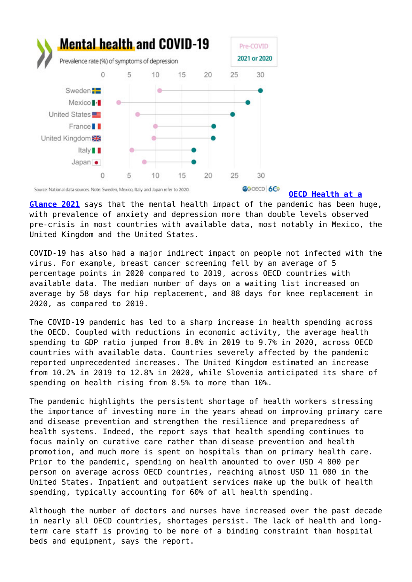

**[OECD Health at a](https://www.oecd.org/health/health-at-a-glance-19991312.htm)**

**[Glance 2021](https://www.oecd.org/health/health-at-a-glance-19991312.htm)** says that the mental health impact of the pandemic has been huge, with prevalence of anxiety and depression more than double levels observed pre-crisis in most countries with available data, most notably in Mexico, the United Kingdom and the United States.

COVID‑19 has also had a major indirect impact on people not infected with the virus. For example, breast cancer screening fell by an average of 5 percentage points in 2020 compared to 2019, across OECD countries with available data. The median number of days on a waiting list increased on average by 58 days for hip replacement, and 88 days for knee replacement in 2020, as compared to 2019.

The COVID-19 pandemic has led to a sharp increase in health spending across the OECD. Coupled with reductions in economic activity, the average health spending to GDP ratio jumped from 8.8% in 2019 to 9.7% in 2020, across OECD countries with available data. Countries severely affected by the pandemic reported unprecedented increases. The United Kingdom estimated an increase from 10.2% in 2019 to 12.8% in 2020, while Slovenia anticipated its share of spending on health rising from 8.5% to more than 10%.

The pandemic highlights the persistent shortage of health workers stressing the importance of investing more in the years ahead on improving primary care and disease prevention and strengthen the resilience and preparedness of health systems. Indeed, the report says that health spending continues to focus mainly on curative care rather than disease prevention and health promotion, and much more is spent on hospitals than on primary health care. Prior to the pandemic, spending on health amounted to over USD 4 000 per person on average across OECD countries, reaching almost USD 11 000 in the United States. Inpatient and outpatient services make up the bulk of health spending, typically accounting for 60% of all health spending.

Although the number of doctors and nurses have increased over the past decade in nearly all OECD countries, shortages persist. The lack of health and longterm care staff is proving to be more of a binding constraint than hospital beds and equipment, says the report.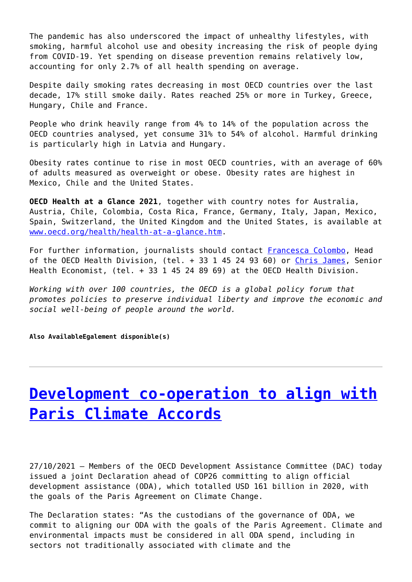The pandemic has also underscored the impact of unhealthy lifestyles, with smoking, harmful alcohol use and obesity increasing the risk of people dying from COVID-19. Yet spending on disease prevention remains relatively low, accounting for only 2.7% of all health spending on average.

Despite daily smoking rates decreasing in most OECD countries over the last decade, 17% still smoke daily. Rates reached 25% or more in Turkey, Greece, Hungary, Chile and France.

People who drink heavily range from 4% to 14% of the population across the OECD countries analysed, yet consume 31% to 54% of alcohol. Harmful drinking is particularly high in Latvia and Hungary.

Obesity rates continue to rise in most OECD countries, with an average of 60% of adults measured as overweight or obese. Obesity rates are highest in Mexico, Chile and the United States.

**OECD Health at a Glance 2021**, together with country notes for Australia, Austria, Chile, Colombia, Costa Rica, France, Germany, Italy, Japan, Mexico, Spain, Switzerland, the United Kingdom and the United States, is available at [www.oecd.org/health/health-at-a-glance.htm.](http://www.oecd.org/health/health-at-a-glance.htm)

For further information, journalists should contact [Francesca Colombo](mailto:francesca.colombo@oecd.org), Head of the OECD Health Division, (tel. + 33 1 45 24 93 60) or [Chris James](mailto:chris.james@oecd.org), Senior Health Economist, (tel. + 33 1 45 24 89 69) at the OECD Health Division.

*Working with over 100 countries, the OECD is a global policy forum that promotes policies to preserve individual liberty and improve the economic and social well-being of people around the world.*

**Also AvailableEgalement disponible(s)**

## **[Development co-operation to align with](http://www.government-world.com/development-co-operation-to-align-with-paris-climate-accords/) [Paris Climate Accords](http://www.government-world.com/development-co-operation-to-align-with-paris-climate-accords/)**

27/10/2021 – Members of the OECD Development Assistance Committee (DAC) today issued a joint Declaration ahead of COP26 committing to align official development assistance (ODA), which totalled USD 161 billion in 2020, with the goals of the Paris Agreement on Climate Change.

The Declaration states: "As the custodians of the governance of ODA, we commit to aligning our ODA with the goals of the Paris Agreement. Climate and environmental impacts must be considered in all ODA spend, including in sectors not traditionally associated with climate and the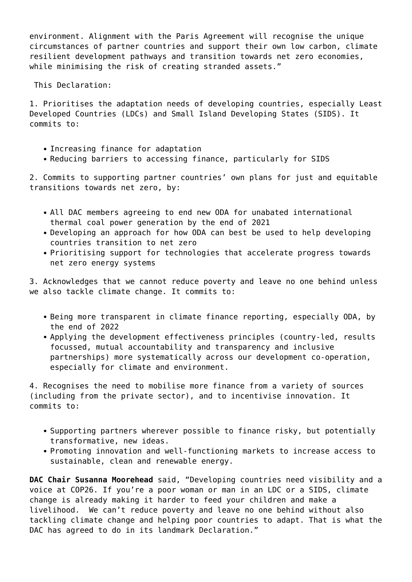environment. Alignment with the Paris Agreement will recognise the unique circumstances of partner countries and support their own low carbon, climate resilient development pathways and transition towards net zero economies, while minimising the risk of creating stranded assets."

This Declaration:

1. Prioritises the adaptation needs of developing countries, especially Least Developed Countries (LDCs) and Small Island Developing States (SIDS). It commits to:

- Increasing finance for adaptation
- Reducing barriers to accessing finance, particularly for SIDS

2. Commits to supporting partner countries' own plans for just and equitable transitions towards net zero, by:

- All DAC members agreeing to end new ODA for unabated international thermal coal power generation by the end of 2021
- Developing an approach for how ODA can best be used to help developing countries transition to net zero
- Prioritising support for technologies that accelerate progress towards net zero energy systems

3. Acknowledges that we cannot reduce poverty and leave no one behind unless we also tackle climate change. It commits to:

- Being more transparent in climate finance reporting, especially ODA, by the end of 2022
- Applying the development effectiveness principles (country-led, results focussed, mutual accountability and transparency and inclusive partnerships) more systematically across our development co-operation, especially for climate and environment.

4. Recognises the need to mobilise more finance from a variety of sources (including from the private sector), and to incentivise innovation. It commits to:

- Supporting partners wherever possible to finance risky, but potentially transformative, new ideas.
- Promoting innovation and well-functioning markets to increase access to sustainable, clean and renewable energy.

**DAC Chair Susanna Moorehead** said, "Developing countries need visibility and a voice at COP26. If you're a poor woman or man in an LDC or a SIDS, climate change is already making it harder to feed your children and make a livelihood. We can't reduce poverty and leave no one behind without also tackling climate change and helping poor countries to adapt. That is what the DAC has agreed to do in its landmark Declaration."